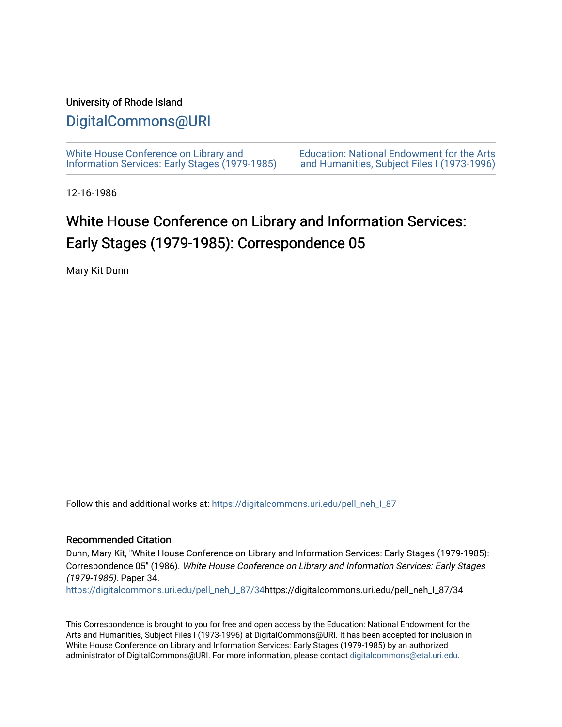## University of Rhode Island

## [DigitalCommons@URI](https://digitalcommons.uri.edu/)

[White House Conference on Library and](https://digitalcommons.uri.edu/pell_neh_I_87) [Information Services: Early Stages \(1979-1985\)](https://digitalcommons.uri.edu/pell_neh_I_87)  [Education: National Endowment for the Arts](https://digitalcommons.uri.edu/pell_neh_I)  [and Humanities, Subject Files I \(1973-1996\)](https://digitalcommons.uri.edu/pell_neh_I) 

12-16-1986

# White House Conference on Library and Information Services: Early Stages (1979-1985): Correspondence 05

Mary Kit Dunn

Follow this and additional works at: [https://digitalcommons.uri.edu/pell\\_neh\\_I\\_87](https://digitalcommons.uri.edu/pell_neh_I_87?utm_source=digitalcommons.uri.edu%2Fpell_neh_I_87%2F34&utm_medium=PDF&utm_campaign=PDFCoverPages) 

### Recommended Citation

Dunn, Mary Kit, "White House Conference on Library and Information Services: Early Stages (1979-1985): Correspondence 05" (1986). White House Conference on Library and Information Services: Early Stages (1979-1985). Paper 34.

[https://digitalcommons.uri.edu/pell\\_neh\\_I\\_87/34h](https://digitalcommons.uri.edu/pell_neh_I_87/34?utm_source=digitalcommons.uri.edu%2Fpell_neh_I_87%2F34&utm_medium=PDF&utm_campaign=PDFCoverPages)ttps://digitalcommons.uri.edu/pell\_neh\_I\_87/34

This Correspondence is brought to you for free and open access by the Education: National Endowment for the Arts and Humanities, Subject Files I (1973-1996) at DigitalCommons@URI. It has been accepted for inclusion in White House Conference on Library and Information Services: Early Stages (1979-1985) by an authorized administrator of DigitalCommons@URI. For more information, please contact [digitalcommons@etal.uri.edu.](mailto:digitalcommons@etal.uri.edu)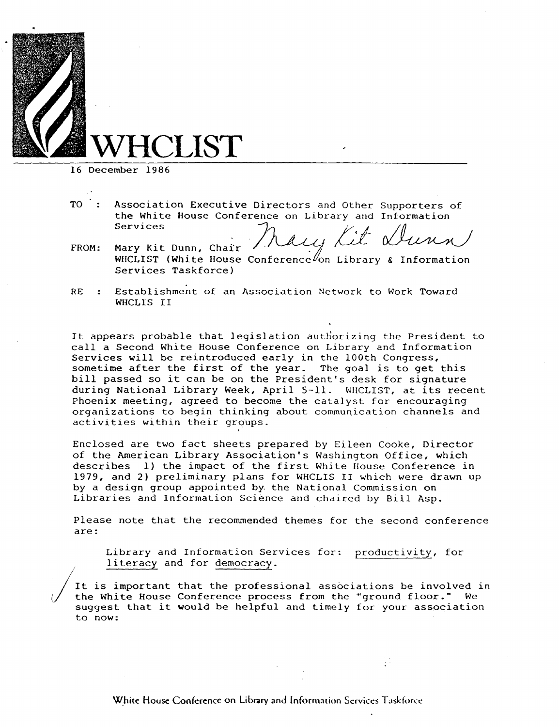

16 December 1986

/

- TO Association Executive Directors and Other Supporters of the White House Conference on Library and Information<br>Services Services  $\mathcal{V}_{\mathbf{a}}$  is  $\mathcal{V}_{\mathbf{a}}$  if  $\mathcal{V}_{\mathbf{b}}$  and  $\mathcal{V}_{\mathbf{a}}$ Directors and Other Supporters of<br>rence on Library and Information<br>Mally Lit Wurn
- FROM: Mary Kit Dunn, Chair WHCLIST (White House Conference $\ell$ on Library Services Taskforce}
- RE Establishment of an Association Network to Work Toward WHCLIS II

It appears probable that legislation authorizing the President to call a Second White House Conference on Library and tnformation Services will be reintroduced early in the 100th Congress, sometime after the first of the year. The goal is to get this bill passed so it can be on the President's desk for signature during National Library Week, April 5-11. WHCLIST, at its recent Phoenix meeting, agreed to become the catalyst for encouraging organizations to begin thinking about communication channels and activities within their groups.

Enclosed are two fact sheets prepared by Eileen Cooke, Director of the American Library Association's Washington Office, which describes l} the impact of the first White House Conference in 1979, and 2} preliminary plans for WHCLIS II which were drawn up by a design group appointed by. the National Commission on Libraries and Information Science and chaired by Bill Asp.

Please note that the recommended themes for the second conference are:

Library and Information Services for: productivity, for literacy and for democracy.

It is important that the professional associations be involved in the White House Conference process from the "ground floor." We suggest that it would be helpful and timely for your association to now: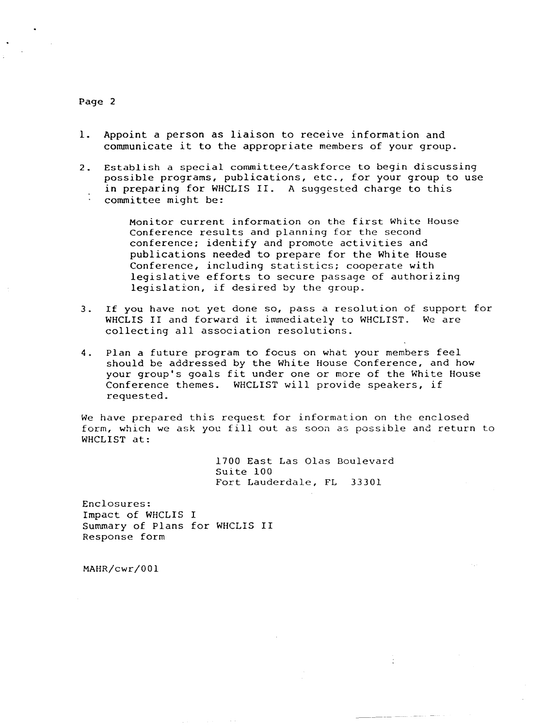#### Page 2

- 1. Appoint a person as liaison to receive information and communicate *it* to the appropriate members of your group.
- 2. Establish a special committee/taskforce to begin discussing possible programs, publications, etc., for your group to use *in* preparing for WHCLIS II. A suggested charge to this committee might be:

Monitor current information on the first White House Conference results and planning for the second conference; identify and promote activities and publications needed to prepare for the White House Conference, including statistics; cooperate with legislative efforts to secure passage of authorizing legislation, if desired by the group.

- 3. If you have not yet done so, pass a resolution of support for WHCLIS II and forward it immediately to WHCLIST. We are collecting all association resolutions.
- 4. Plan a future program to focus on what your members feel should be addressed by the White House Conference, and how your group's goals fit under one or more of the White House Conference themes. WHCLIST will provide speakers, if requested.

We have prepared this request for information on the enclosed form, which we ask you fill out as soon as possible and return to WHCLIST at:

> 1700 East Las Olas Boulevard Suite 100 Fort Lauderdale, FL 33301

> > $\ddot{i}$

Enclosures: Impact of WHCLIS I Summary of Plans for WHCLIS II Response form

MAHR/cwr/001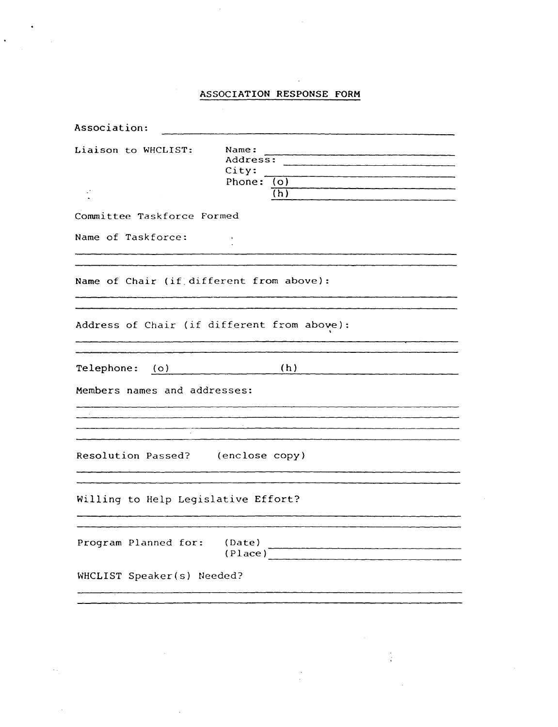## ASSOCIATION RESPONSE **FORM**

| Association:                                                                                                                                                                                               |  |                                            |         |
|------------------------------------------------------------------------------------------------------------------------------------------------------------------------------------------------------------|--|--------------------------------------------|---------|
| Liaison to WHCLIST:                                                                                                                                                                                        |  | Name:<br>Address:<br>City:<br>Phone: $(o)$ | (h)     |
| Committee Taskforce Formed                                                                                                                                                                                 |  |                                            |         |
| Name of Taskforce:                                                                                                                                                                                         |  |                                            |         |
| Name of Chair (if different from above):                                                                                                                                                                   |  |                                            |         |
| Address of Chair (if different from above):                                                                                                                                                                |  |                                            |         |
| (h)<br>Telephone: (o)<br>$\mathcal{L} = \mathcal{L} \left( \mathcal{L} \right) = \mathcal{L} \left( \mathcal{L} \right) = \mathcal{L} \left( \mathcal{L} \right) = \mathcal{L} \left( \mathcal{L} \right)$ |  |                                            |         |
| Members names and addresses:                                                                                                                                                                               |  |                                            |         |
|                                                                                                                                                                                                            |  |                                            |         |
| Resolution Passed? (enclose copy)                                                                                                                                                                          |  |                                            |         |
| Willing to Help Legislative Effort?                                                                                                                                                                        |  |                                            |         |
| Program Planned for:                                                                                                                                                                                       |  | (Date)                                     | (Place) |
| WHCLIST Speaker(s) Needed?                                                                                                                                                                                 |  |                                            |         |

 $\ddot{\phantom{a}}$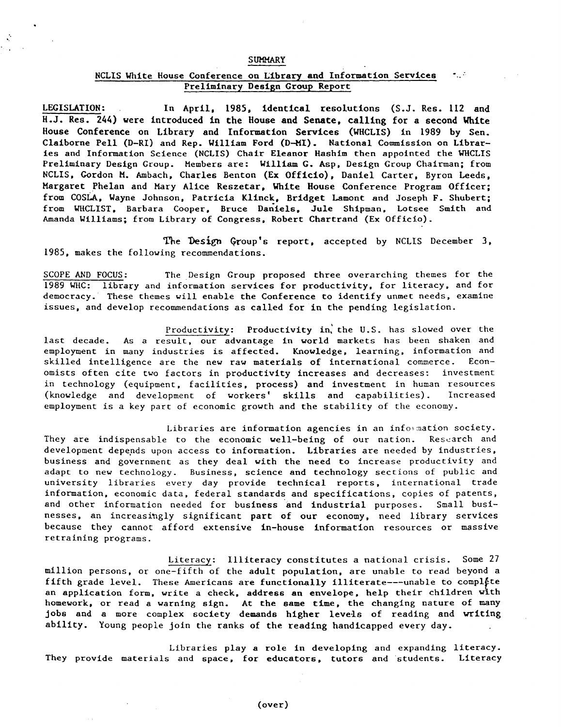#### **SUMMARY**

#### NCLIS White House Conference on Library and Information Services Preliminary Design Group Report

LEGISLATION: In April, 1985, identical resolutions (S.J. Res. 112 and H.J. Res. 244) vere introduced in the House and Senate, calling for a second White House Conference on Library and Information Services (WHCLIS) in 1989 by Sen. Claiborne Pell {D-RI) and Rep. William Ford (D-MI). National Commission on Libraries and Information Science (NCLIS) Chair Eleanor Hashim then appointed the WHCLIS Preliminary Design Group. Members are: William G. Asp, Design Group Chairman; from NCLIS, Gordon M. Ambach, Charles Benton (Ex Officio), Daniel Carter, Byron Leeds, Margaret Phelan and Mary Alice Reszetar, White House Conference Program Officer; from COSLA, Wayne Johnson, Patricia Klinck, Bridget Lamont and Joseph F. Shubert; from WHCLIST, Barbara Cooper, Bruce Daniels, Jule Shipman, Lotsee Smith and Amanda Williams; from Library of Congress, Robert Chartrand (Ex Officio).

The Design Group's report, accepted by NCLIS December 3. 1985, makes the following recommendations.

SCOPE AND FOCUS: The Design Group proposed three overarching themes for the 1989 WHC: library and information services for productivity, for literacy, and for democracy. These themes will enable the Conference to identify unmet needs, examine issues, and develop recommendations as called for in the pending legislation.

Productivity: Productivity in, the U.S. has slowed over the last decade. As a result, our advantage in world markets has been shaken and employment in many industries is affected. Knowledge, learning, information and skilled intelligence are the new raw materials of international commerce. Economists often cite two factors in productivity increases and decreases: investment in technology (equipment, facilities, process) and investment in human resources (knowledge and development of workers' skills and capabilities). Increased employment is a key part of economic growth and the stability of the economy.

Libraries are information agencies in an information society. They are indispensable to the economic well-being of our nation. Research and development depends upon access to information. Libraries are needed by industries, business and government as they deal with the need to increase productivity and adapt to new technology. Business, science and technology sections of public and university libraries every day provide technical reports, international trade information, economic data, federal standards and specifications, copies of patents, and other information needed for business and industrial purposes. Small businesses, an increasingly significant part of our economy, need library services because they cannot afford extensive in-house information resources or massive retraining programs.

Literacy: Illiteracy constitutes a national crisis. Some 27 million persons, or one-fifth of the adult population, are unable to read beyond a fifth grade level. These Americans are functionally illiterate---unable to complete an application form, write a check, address an envelope, help their children with homework, or read a warning sign. At the same time, the changing nature of many jobs and a more complex society demands higher levels of reading and vriting ability. Young people join the ranks of the reading handicapped every day.

Libraries play a role in developing and expanding literacy. They provide materials and space, for educators, tutors and students. Literacy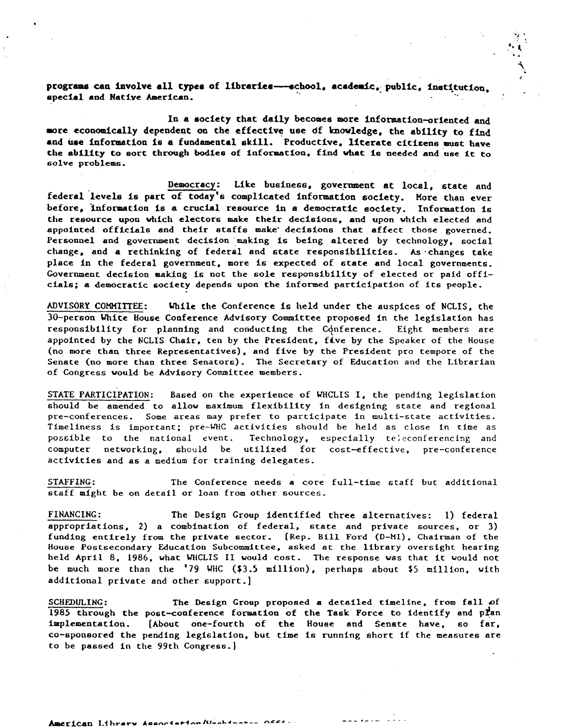programs can involve all types of libraries---school, academic, public, institution. special and Native American.

..

In a society that daily becomes more information-oriented and more economically dependent on the effective use of knowledge, the ability to find and use information is a fundamental skill. Productive, literate citizens must have the ability to sort through bodies of information, find what is needed and use it to solve problems.

Democracy: Like business, government at local, state and federal levels is part of today's complicated information society. More than ever before. information is a crucial resource in a democratic society. Information is the resource upon which electors make their decisions, and upon which elected and appointed officials and their staffs make· decisions that affect those governed. Personnel and government decision making is being altered by technology, social change, and a rethinking of federal and state responsibilities. As ·changes take place in the federal government, more is expected of state and local governments. Government decision making is not the sole responsibility of elected or paid officials; a democratic society depends upon the informed participation of its people.

ADVISORY COMMIITEE: While the Conference is held under the auspices of NCLIS, the 30-person White House Conference Advisory Committee proposed in the legislation has responsibility for planning and conducting the Conference. Eight members are appointed by the NCLIS Chair, ten by the President, five by the Speaker of the House (no more than three Representatives), and five by the President pro tempore of the Senate (no more than three Senators). The Secretary of Education and the Librarian of Congress would be Advisory Committee members.

STATE PARTICIPATION: Based on the experience of WHCLIS I, the pending legislation should be amended to allow maximum flexibility in designing state and regional pre-conferences. Some areas may prefer to participate in multi-state activities. Timeliness is important; pre-WHC activities should be held as close in time as possible to the national event. Technology, especially teleconferencing and computer networking, should be utilized for cost-effective, pre-conference activities and as a medium for training delegates.

STAFFING: The Conference needs a core full-time staff but additional staff might be on detail or loan from other sources.

FINANCING: The Design Group identified three alternatives: l) federal appropriations, 2) a combination of federal, state and private sources, or 3) funding entirely from the private sector. (Rep. Bill Ford (D-Ml}, Chairman of the House Postsecondary Education Subcommittee, asked at the library oversight hearing held April 8, 1986, what WHCLIS II would cost. The response was that it would not be much more than the '79 WHC (\$3.5 million), perhaps about \$5 million, with additional private and other support.]

SCHEDULING: The Design Group proposed a detailed timeline, from fall of 1985 through the post-conference formation of the Task Force to identify and plan implementation. (About one-fourth of the House and Senate have, so far, co-sponsored the pending legislation, but time is running short if the measures are to be passed in the 99th Congress.)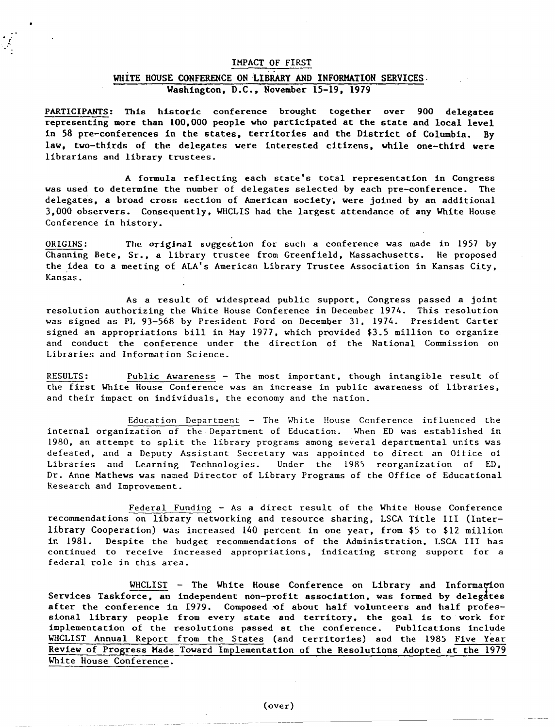#### IMPACT OF FIRST

!.

## WHITE HOUSE CONFERENCE ON LIBRARY AND INFORMATION SERVICES. Washington, D.C., November 15-19, 1979

PARTICIPANTS: This historic conference brought together over 900 delegates representing more than 100,000 people who participated at the state and local level in 58 pre-conferences in the states, territories and the District of Columbia. By law, two-thirds of the delegates were interested citizens, while one-third were librarians and library trustees.

A fonuula reflecting each state• s total representation in Congress was used to determine the number of delegates selected by each pre-conference. The delegates, a broad cross section of American society, were joined by an additional 3,000 observers. Consequently, WHCLIS had the largest attendance of any White House Conference in history.

ORIGINS: The original suggestion for such a conference was made in 1957 by Channing Bete, Sr., a library trustee from Greenfield, Massachusetts. He proposed the idea to a meeting of ALA's American Library Trustee Association in Kansas City, Kansas.

As a result of widespread public support, Congress passed a joint resolution authorizing the White House Conference in December 1974. This resolution was signed as PL 93-568 by President Ford on December 31, 1974. President Carter signed an appropriations bill in May 1977, which provided \$3.5 million to organize and conduct the conference under the direction of the National Commission on Libraries and Information Science.

RESULTS: Public Awareness - The most important, though intangible result of the first White House Conference was an increase in public awareness of libraries, and their impact on individuals, the economy and the nation.

Education Deoartment - The White House Conference influenced the internal organization of the Department of Education. When ED was established in 1980, an attempt to split the library programs among several departmental units was defeated, and a Deputy Assistant Secretary *"las* appointed to direct an Office of Libraries and Learning Technologies. Under the 1985 reorganization of ED, Dr. Anne Mathews was named Director of Library Programs of the Office of Educational Research and Improvement.

Federal Funding - As a direct result of the White House Conference recommendations on library networking and resource sharing, LSCA Title III (Interlibrary Cooperation) was increased 140 percent in one year, from \$5 to \$12 million in 1981. Despite the budget recommendations of the Administration, LSCA Ill has continued to receive increased appropriations, indicating strong support for a federal role in this area.

WHCLIST - The White House Conference on Library and Information Services Taskforce, an independent non-profit association, was formed by delegates after the conference in 1979. Composed of about half volunteers and half professional library people from every state and territory, the goal is to work for implementation of the resolutions passed at the conference. Publications include WHCLIST Annual Report from the States (and territories) and the 1985 Five Year Review of Progress Made Toward Implementation of the Resolutions Adopted at the 1979 White House Conference.